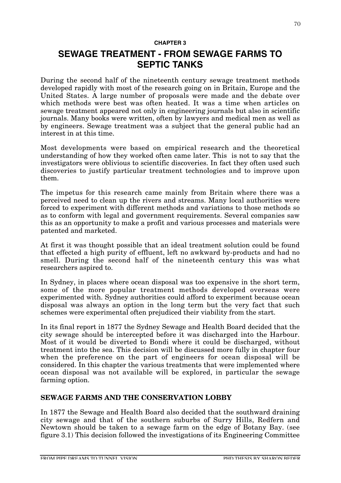#### **CHAPTER 3**

# **SEWAGE TREATMENT - FROM SEWAGE FARMS TO SEPTIC TANKS**

During the second half of the nineteenth century sewage treatment methods developed rapidly with most of the research going on in Britain, Europe and the United States. A large number of proposals were made and the debate over which methods were best was often heated. It was a time when articles on sewage treatment appeared not only in engineering journals but also in scientific journals. Many books were written, often by lawyers and medical men as well as by engineers. Sewage treatment was a subject that the general public had an interest in at this time.

Most developments were based on empirical research and the theoretical understanding of how they worked often came later. This is not to say that the investigators were oblivious to scientific discoveries. In fact they often used such discoveries to justify particular treatment technologies and to improve upon them.

The impetus for this research came mainly from Britain where there was a perceived need to clean up the rivers and streams. Many local authorities were forced to experiment with different methods and variations to those methods so as to conform with legal and government requirements. Several companies saw this as an opportunity to make a profit and various processes and materials were patented and marketed.

At first it was thought possible that an ideal treatment solution could be found that effected a high purity of effluent, left no awkward by-products and had no smell. During the second half of the nineteenth century this was what researchers aspired to.

In Sydney, in places where ocean disposal was too expensive in the short term, some of the more popular treatment methods developed overseas were experimented with. Sydney authorities could afford to experiment because ocean disposal was always an option in the long term but the very fact that such schemes were experimental often prejudiced their viability from the start.

In its final report in 1877 the Sydney Sewage and Health Board decided that the city sewage should be intercepted before it was discharged into the Harbour. Most of it would be diverted to Bondi where it could be discharged, without treatment into the sea. This decision will be discussed more fully in chapter four when the preference on the part of engineers for ocean disposal will be considered. In this chapter the various treatments that were implemented where ocean disposal was not available will be explored, in particular the sewage farming option.

# **SEWAGE FARMS AND THE CONSERVATION LOBBY**

In 1877 the Sewage and Health Board also decided that the southward draining city sewage and that of the southern suburbs of Surry Hills, Redfern and Newtown should be taken to a sewage farm on the edge of Botany Bay. (see figure 3.1) This decision followed the investigations of its Engineering Committee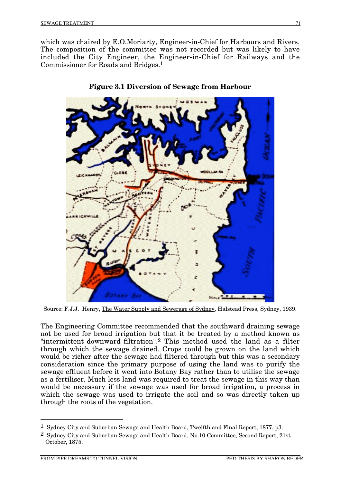which was chaired by E.O.Moriarty, Engineer-in-Chief for Harbours and Rivers. The composition of the committee was not recorded but was likely to have included the City Engineer, the Engineer-in-Chief for Railways and the Commissioner for Roads and Bridges.1





Source: F.J.J. Henry, The Water Supply and Sewerage of Sydney, Halstead Press, Sydney, 1939.

The Engineering Committee recommended that the southward draining sewage not be used for broad irrigation but that it be treated by a method known as "intermittent downward filtration".2 This method used the land as a filter through which the sewage drained. Crops could be grown on the land which would be richer after the sewage had filtered through but this was a secondary consideration since the primary purpose of using the land was to purify the sewage effluent before it went into Botany Bay rather than to utilise the sewage as a fertiliser. Much less land was required to treat the sewage in this way than would be necessary if the sewage was used for broad irrigation, a process in which the sewage was used to irrigate the soil and so was directly taken up through the roots of the vegetation.

<sup>&</sup>lt;sup>1</sup> Sydney City and Suburban Sewage and Health Board, Twelfth and Final Report, 1877, p3.

<sup>&</sup>lt;sup>2</sup> Sydney City and Suburban Sewage and Health Board, No.10 Committee, Second Report, 21st October, 1875.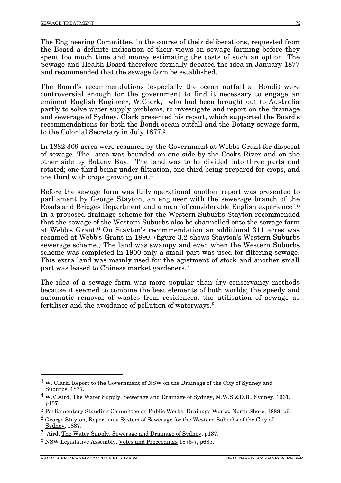The Engineering Committee, in the course of their deliberations, requested from the Board a definite indication of their views on sewage farming before they spent too much time and money estimating the costs of such an option. The Sewage and Health Board therefore formally debated the idea in January 1877 and recommended that the sewage farm be established.

The Board's recommendations (especially the ocean outfall at Bondi) were controversial enough for the government to find it necessary to engage an eminent English Engineer, W.Clark, who had been brought out to Australia partly to solve water supply problems, to investigate and report on the drainage and sewerage of Sydney. Clark presented his report, which supported the Board's recommendations for both the Bondi ocean outfall and the Botany sewage farm, to the Colonial Secretary in July 1877.3

In 1882 309 acres were resumed by the Government at Webbs Grant for disposal of sewage. The area was bounded on one side by the Cooks River and on the other side by Botany Bay. The land was to be divided into three parts and rotated; one third being under filtration, one third being prepared for crops, and one third with crops growing on it.4

Before the sewage farm was fully operational another report was presented to parliament by George Stayton, an engineer with the sewerage branch of the Roads and Bridges Department and a man "of considerable English experience".5 In a proposed drainage scheme for the Western Suburbs Stayton recommended that the sewage of the Western Suburbs also be channelled onto the sewage farm at Webb's Grant.6 On Stayton's recommendation an additional 311 acres was resumed at Webb's Grant in 1890. (figure 3.2 shows Stayton's Western Suburbs sewerage scheme.) The land was swampy and even when the Western Suburbs scheme was completed in 1900 only a small part was used for filtering sewage. This extra land was mainly used for the agistment of stock and another small part was leased to Chinese market gardeners.7

The idea of a sewage farm was more popular than dry conservancy methods because it seemed to combine the best elements of both worlds; the speedy and automatic removal of wastes from residences, the utilisation of sewage as fertiliser and the avoidance of pollution of waterways.8

<sup>&</sup>lt;sup>3</sup> W. Clark, Report to the Government of NSW on the Drainage of the City of Sydney and Suburbs, 1877.

<sup>4</sup> W.V.Aird, The Water Supply, Sewerage and Drainage of Sydney, M.W.S.&D.B., Sydney, 1961, p137.

<sup>5</sup> Parliamentary Standing Committee on Public Works, Drainage Works, North Shore, 1888, p6.

<sup>6</sup> George Stayton, Report on a System of Sewerage for the Western Suburbs of the City of Sydney, 1887.

<sup>7</sup> Aird, The Water Supply, Sewerage and Drainage of Sydney, p137.

<sup>8</sup> NSW Legislative Assembly, Votes and Proceedings 1876-7, p685.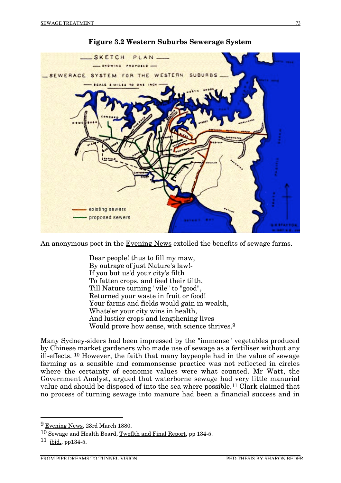

#### **Figure 3.2 Western Suburbs Sewerage System**

An anonymous poet in the Evening News extolled the benefits of sewage farms.

Dear people! thus to fill my maw, By outrage of just Nature's law!- If you but us'd your city's filth To fatten crops, and feed their tilth, Till Nature turning "vile" to "good", Returned your waste in fruit or food! Your farms and fields would gain in wealth, Whate'er your city wins in health, And lustier crops and lengthening lives Would prove how sense, with science thrives.9

Many Sydney-siders had been impressed by the "immense" vegetables produced by Chinese market gardeners who made use of sewage as a fertiliser without any ill-effects. 10 However, the faith that many laypeople had in the value of sewage farming as a sensible and commonsense practice was not reflected in circles where the certainty of economic values were what counted. Mr Watt, the Government Analyst, argued that waterborne sewage had very little manurial value and should be disposed of into the sea where possible.11 Clark claimed that no process of turning sewage into manure had been a financial success and in

 <sup>9</sup> Evening News, 23rd March 1880.

<sup>10</sup> Sewage and Health Board, Tweflth and Final Report, pp 134-5.

 $11$  ibid., pp134-5.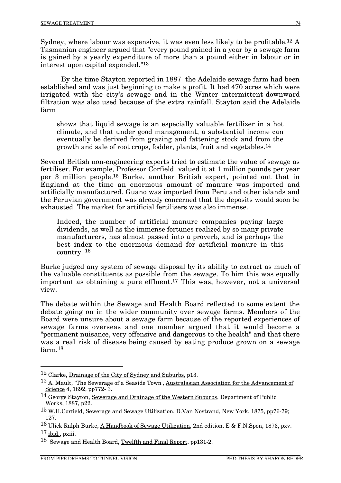Sydney, where labour was expensive, it was even less likely to be profitable.12 A Tasmanian engineer argued that "every pound gained in a year by a sewage farm is gained by a yearly expenditure of more than a pound either in labour or in interest upon capital expended."13

By the time Stayton reported in 1887 the Adelaide sewage farm had been established and was just beginning to make a profit. It had 470 acres which were irrigated with the city's sewage and in the Winter intermittent-downward filtration was also used because of the extra rainfall. Stayton said the Adelaide farm

shows that liquid sewage is an especially valuable fertilizer in a hot climate, and that under good management, a substantial income can eventually be derived from grazing and fattening stock and from the growth and sale of root crops, fodder, plants, fruit and vegetables.14

Several British non-engineering experts tried to estimate the value of sewage as fertiliser. For example, Professor Corfield valued it at 1 million pounds per year per 3 million people.15 Burke, another British expert, pointed out that in England at the time an enormous amount of manure was imported and artificially manufactured. Guano was imported from Peru and other islands and the Peruvian government was already concerned that the deposits would soon be exhausted. The market for artificial fertilisers was also immense.

Indeed, the number of artificial manure companies paying large dividends, as well as the immense fortunes realized by so many private manufacturers, has almost passed into a proverb, and is perhaps the best index to the enormous demand for artificial manure in this country. 16

Burke judged any system of sewage disposal by its ability to extract as much of the valuable constituents as possible from the sewage. To him this was equally important as obtaining a pure effluent.17 This was, however, not a universal view.

The debate within the Sewage and Health Board reflected to some extent the debate going on in the wider community over sewage farms. Members of the Board were unsure about a sewage farm because of the reported experiences of sewage farms overseas and one member argued that it would become a "permanent nuisance, very offensive and dangerous to the health" and that there was a real risk of disease being caused by eating produce grown on a sewage farm 18

 <sup>12</sup> Clarke, Drainage of the City of Sydney and Suburbs, p13.

<sup>&</sup>lt;sup>13</sup> A. Mault, `The Sewerage of a Seaside Town', Australasian Association for the Advancement of Science 4, 1892, pp772- 3.

<sup>&</sup>lt;sup>14</sup> George Stayton, Sewerage and Drainage of the Western Suburbs, Department of Public Works, 1887, p22.

<sup>15</sup> W.H.Corfield, Sewerage and Sewage Utilization, D.Van Nostrand, New York, 1875, pp76-79; 127.

<sup>16</sup> Ulick Ralph Burke, A Handbook of Sewage Utilization, 2nd edition, E & F.N.Spon, 1873, pxv.  $17$  ibid., pxiii.

<sup>&</sup>lt;sup>18</sup> Sewage and Health Board, Twelfth and Final Report, pp131-2.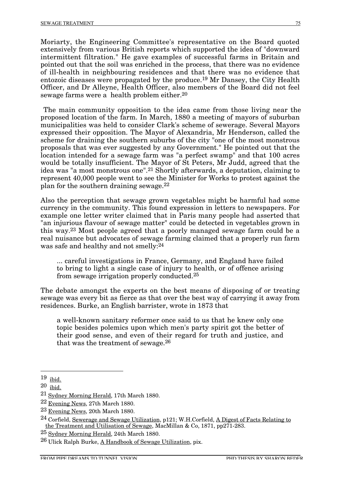Moriarty, the Engineering Committee's representative on the Board quoted extensively from various British reports which supported the idea of "downward intermittent filtration." He gave examples of successful farms in Britain and pointed out that the soil was enriched in the process, that there was no evidence of ill-health in neighbouring residences and that there was no evidence that entozoic diseases were propagated by the produce.19 Mr Dansey, the City Health Officer, and Dr Alleyne, Health Officer, also members of the Board did not feel sewage farms were a health problem either.20

The main community opposition to the idea came from those living near the proposed location of the farm. In March, 1880 a meeting of mayors of suburban municipalities was held to consider Clark's scheme of sewerage. Several Mayors expressed their opposition. The Mayor of Alexandria, Mr Henderson, called the scheme for draining the southern suburbs of the city "one of the most monstrous proposals that was ever suggested by any Government." He pointed out that the location intended for a sewage farm was "a perfect swamp" and that 100 acres would be totally insufficient. The Mayor of St Peters, Mr Judd, agreed that the idea was "a most monstrous one".21 Shortly afterwards, a deputation, claiming to represent 40,000 people went to see the Minister for Works to protest against the plan for the southern draining sewage.22

Also the perception that sewage grown vegetables might be harmful had some currency in the community. This found expression in letters to newspapers. For example one letter writer claimed that in Paris many people had asserted that "an injurious flavour of sewage matter" could be detected in vegetables grown in this way.23 Most people agreed that a poorly managed sewage farm could be a real nuisance but advocates of sewage farming claimed that a properly run farm was safe and healthy and not smelly: 24

... careful investigations in France, Germany, and England have failed to bring to light a single case of injury to health, or of offence arising from sewage irrigation properly conducted.25

The debate amongst the experts on the best means of disposing of or treating sewage was every bit as fierce as that over the best way of carrying it away from residences. Burke, an English barrister, wrote in 1873 that

a well-known sanitary reformer once said to us that he knew only one topic besides polemics upon which men's party spirit got the better of their good sense, and even of their regard for truth and justice, and that was the treatment of sewage.26

 $19$  ibid.

<sup>20</sup> ibid.

<sup>21</sup> Sydney Morning Herald, 17th March 1880.

 $22$  Evening News, 27th March 1880.

<sup>23</sup> Evening News, 20th March 1880.

<sup>24</sup> Corfield, Sewerage and Sewage Utilization, p121; W.H.Corfield, A Digest of Facts Relating to the Treatment and Utilisation of Sewage, MacMillan & Co, 1871, pp271-283.

<sup>25</sup> Sydney Morning Herald, 24th March 1880.

<sup>26</sup> Ulick Ralph Burke, A Handbook of Sewage Utilization, pix.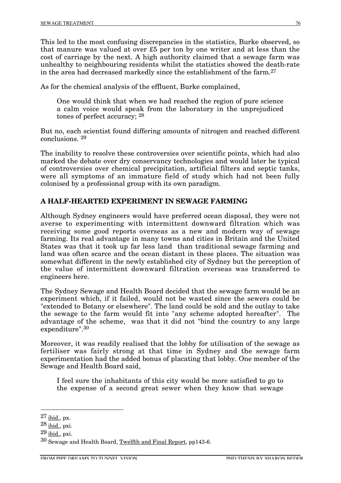This led to the most confusing discrepancies in the statistics, Burke observed, so that manure was valued at over £5 per ton by one writer and at less than the cost of carriage by the next. A high authority claimed that a sewage farm was unhealthy to neighbouring residents whilst the statistics showed the death-rate in the area had decreased markedly since the establishment of the farm.27

As for the chemical analysis of the effluent, Burke complained,

One would think that when we had reached the region of pure science a calm voice would speak from the laboratory in the unprejudiced tones of perfect accuracy; 28

But no, each scientist found differing amounts of nitrogen and reached different conclusions. 29

The inability to resolve these controversies over scientific points, which had also marked the debate over dry conservancy technologies and would later be typical of controversies over chemical precipitation, artificial filters and septic tanks, were all symptoms of an immature field of study which had not been fully colonised by a professional group with its own paradigm.

# **A HALF-HEARTED EXPERIMENT IN SEWAGE FARMING**

Although Sydney engineers would have preferred ocean disposal, they were not averse to experimenting with intermittent downward filtration which was receiving some good reports overseas as a new and modern way of sewage farming. Its real advantage in many towns and cities in Britain and the United States was that it took up far less land than traditional sewage farming and land was often scarce and the ocean distant in these places. The situation was somewhat different in the newly established city of Sydney but the perception of the value of intermittent downward filtration overseas was transferred to engineers here.

The Sydney Sewage and Health Board decided that the sewage farm would be an experiment which, if it failed, would not be wasted since the sewers could be "extended to Botany or elsewhere". The land could be sold and the outlay to take the sewage to the farm would fit into "any scheme adopted hereafter". The advantage of the scheme, was that it did not "bind the country to any large expenditure".30

Moreover, it was readily realised that the lobby for utilisation of the sewage as fertiliser was fairly strong at that time in Sydney and the sewage farm experimentation had the added bonus of placating that lobby. One member of the Sewage and Health Board said,

I feel sure the inhabitants of this city would be more satisfied to go to the expense of a second great sewer when they know that sewage

 $27$  ibid., px.

<sup>28</sup> ibid., pxi.

 $29$  ibid., pxi.

<sup>30</sup> Sewage and Health Board, Twelfth and Final Report, pp143-6.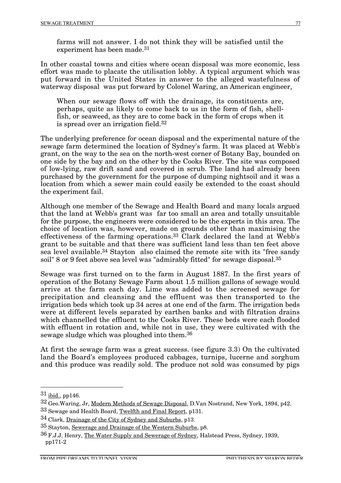farms will not answer. I do not think they will be satisfied until the experiment has been made.<sup>31</sup>

In other coastal towns and cities where ocean disposal was more economic, less effort was made to placate the utilisation lobby. A typical argument which was put forward in the United States in answer to the alleged wastefulness of waterway disposal was put forward by Colonel Waring, an American engineer,

When our sewage flows off with the drainage, its constituents are, perhaps, quite as likely to come back to us in the form of fish, shellfish, or seaweed, as they are to come back in the form of crops when it is spread over an irrigation field.32

The underlying preference for ocean disposal and the experimental nature of the sewage farm determined the location of Sydney's farm. It was placed at Webb's grant, on the way to the sea on the north-west corner of Botany Bay, bounded on one side by the bay and on the other by the Cooks River. The site was composed of low-lying, raw drift sand and covered in scrub. The land had already been purchased by the government for the purpose of dumping nightsoil and it was a location from which a sewer main could easily be extended to the coast should the experiment fail.

Although one member of the Sewage and Health Board and many locals argued that the land at Webb's grant was far too small an area and totally unsuitable for the purpose, the engineers were considered to be the experts in this area. The choice of location was, however, made on grounds other than maximising the effectiveness of the farming operations.33 Clark declared the land at Webb's grant to be suitable and that there was sufficient land less than ten feet above sea level available.34 Stayton also claimed the remote site with its "free sandy soil" 8 or 9 feet above sea level was "admirably fitted" for sewage disposal.<sup>35</sup>

Sewage was first turned on to the farm in August 1887. In the first years of operation of the Botany Sewage Farm about 1.5 million gallons of sewage would arrive at the farm each day. Lime was added to the screened sewage for precipitation and cleansing and the effluent was then transported to the irrigation beds which took up 34 acres at one end of the farm. The irrigation beds were at different levels separated by earthen banks and with filtration drains which channelled the effluent to the Cooks River. These beds were each flooded with effluent in rotation and, while not in use, they were cultivated with the sewage sludge which was ploughed into them.36

At first the sewage farm was a great success. (see figure 3.3) On the cultivated land the Board's employees produced cabbages, turnips, lucerne and sorghum and this produce was readily sold. The produce not sold was consumed by pigs

 <sup>31</sup> ibid., pp146.

<sup>32</sup> Geo.Waring, Jr, Modern Methods of Sewage Disposal, D.Van Nostrand, New York, 1894, p42.

<sup>33</sup> Sewage and Health Board, Twelfth and Final Report, p131.

<sup>34</sup> Clark, Drainage of the City of Sydney and Suburbs, p13.

<sup>35</sup> Stayton, Sewerage and Drainage of the Western Suburbs, p8.

<sup>36</sup> F.J.J. Henry, The Water Supply and Sewerage of Sydney, Halstead Press, Sydney, 1939, pp171-2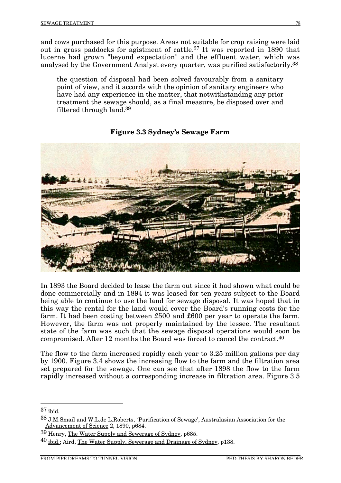and cows purchased for this purpose. Areas not suitable for crop raising were laid out in grass paddocks for agistment of cattle.37 It was reported in 1890 that lucerne had grown "beyond expectation" and the effluent water, which was analysed by the Government Analyst every quarter, was purified satisfactorily.38

the question of disposal had been solved favourably from a sanitary point of view, and it accords with the opinion of sanitary engineers who have had any experience in the matter, that notwithstanding any prior treatment the sewage should, as a final measure, be disposed over and filtered through land.39



**Figure 3.3 Sydney's Sewage Farm**

In 1893 the Board decided to lease the farm out since it had shown what could be done commercially and in 1894 it was leased for ten years subject to the Board being able to continue to use the land for sewage disposal. It was hoped that in this way the rental for the land would cover the Board's running costs for the farm. It had been costing between £500 and £600 per year to operate the farm. However, the farm was not properly maintained by the lessee. The resultant state of the farm was such that the sewage disposal operations would soon be compromised. After 12 months the Board was forced to cancel the contract.40

The flow to the farm increased rapidly each year to 3.25 million gallons per day by 1900. Figure 3.4 shows the increasing flow to the farm and the filtration area set prepared for the sewage. One can see that after 1898 the flow to the farm rapidly increased without a corresponding increase in filtration area. Figure 3.5

 $37$  ibid.

<sup>38</sup> J.M.Smail and W.L.de L.Roberts, `Purification of Sewage', Australasian Association for the Advancement of Science 2, 1890, p684.

<sup>39</sup> Henry, The Water Supply and Sewerage of Sydney, p685.

<sup>40</sup> ibid.; Aird, The Water Supply, Sewerage and Drainage of Sydney, p138.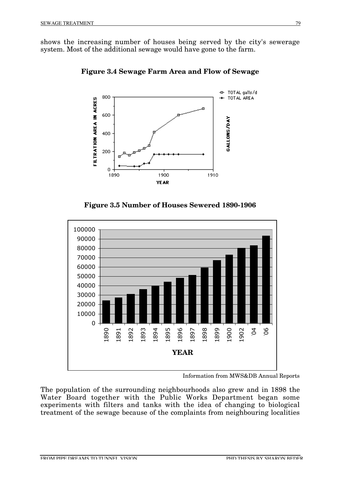shows the increasing number of houses being served by the city's sewerage system. Most of the additional sewage would have gone to the farm.



**Figure 3.4 Sewage Farm Area and Flow of Sewage**

**Figure 3.5 Number of Houses Sewered 1890-1906**



Information from MWS&DB Annual Reports

The population of the surrounding neighbourhoods also grew and in 1898 the Water Board together with the Public Works Department began some experiments with filters and tanks with the idea of changing to biological treatment of the sewage because of the complaints from neighbouring localities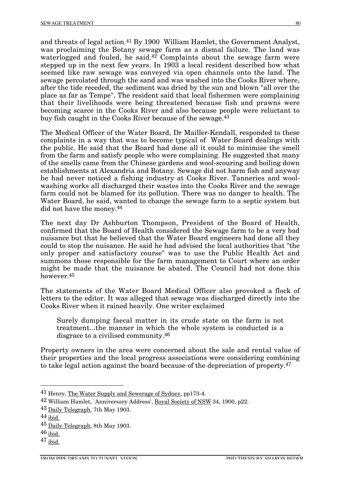and threats of legal action.41 By 1900 William Hamlet, the Government Analyst, was proclaiming the Botany sewage farm as a dismal failure. The land was waterlogged and fouled, he said.<sup>42</sup> Complaints about the sewage farm were stepped up in the next few years. In 1903 a local resident described how what seemed like raw sewage was conveyed via open channels onto the land. The sewage percolated through the sand and was washed into the Cooks River where, after the tide receded, the sediment was dried by the sun and blown "all over the place as far as Tempe". The resident said that local fishermen were complaining that their livelihoods were being threatened because fish and prawns were becoming scarce in the Cooks River and also because people were reluctant to buy fish caught in the Cooks River because of the sewage.43

The Medical Officer of the Water Board, Dr Mailler-Kendall, responded to these complaints in a way that was to become typical of Water Board dealings with the public. He said that the Board had done all it could to minimise the smell from the farm and satisfy people who were complaining. He suggested that many of the smells came from the Chinese gardens and wool-scouring and boiling down establishments at Alexandria and Botany. Sewage did not harm fish and anyway he had never noticed a fishing industry at Cooks River. Tanneries and woolwashing works all discharged their wastes into the Cooks River and the sewage farm could not be blamed for its pollution. There was no danger to health. The Water Board, he said, wanted to change the sewage farm to a septic system but did not have the money.<sup>44</sup>

The next day Dr Ashburton Thompson, President of the Board of Health, confirmed that the Board of Health considered the Sewage farm to be a very bad nuisance but that he believed that the Water Board engineers had done all they could to stop the nuisance. He said he had advised the local authorities that "the only proper and satisfactory course" was to use the Public Health Act and summons those responsible for the farm management to Court where an order might be made that the nuisance be abated. The Council had not done this however.45

The statements of the Water Board Medical Officer also provoked a flock of letters to the editor. It was alleged that sewage was discharged directly into the Cooks River when it rained heavily. One writer exclaimed

Surely dumping faecal matter in its crude state on the farm is not treatment...the manner in which the whole system is conducted is a disgrace to a civilised community.46

Property owners in the area were concerned about the sale and rental value of their properties and the local progress associations were considering combining to take legal action against the board because of the depreciation of property.47

 <sup>41</sup> Henry, The Water Supply and Sewerage of Sydney, pp173-4.

<sup>42</sup> William Hamlet, `Anniversary Address', Royal Society of NSW 34, 1900, p22.

<sup>43</sup> Daily Telegraph, 7th May 1903.

<sup>44</sup> ibid.

<sup>45</sup> Daily Telegraph, 8th May 1903.

 $46$  ibid.

<sup>47</sup> ibid.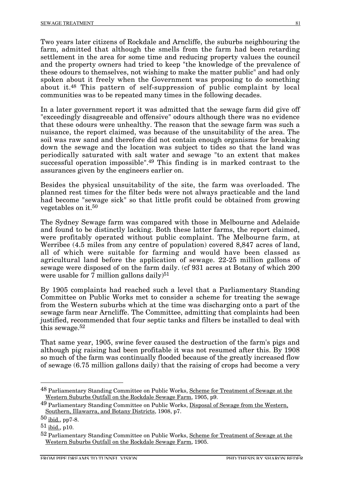Two years later citizens of Rockdale and Arncliffe, the suburbs neighbouring the farm, admitted that although the smells from the farm had been retarding settlement in the area for some time and reducing property values the council and the property owners had tried to keep "the knowledge of the prevalence of these odours to themselves, not wishing to make the matter public" and had only spoken about it freely when the Government was proposing to do something about it.48 This pattern of self-suppression of public complaint by local communities was to be repeated many times in the following decades.

In a later government report it was admitted that the sewage farm did give off "exceedingly disagreeable and offensive" odours although there was no evidence that these odours were unhealthy. The reason that the sewage farm was such a nuisance, the report claimed, was because of the unsuitability of the area. The soil was raw sand and therefore did not contain enough organisms for breaking down the sewage and the location was subject to tides so that the land was periodically saturated with salt water and sewage "to an extent that makes successful operation impossible".49 This finding is in marked contrast to the assurances given by the engineers earlier on.

Besides the physical unsuitability of the site, the farm was overloaded. The planned rest times for the filter beds were not always practicable and the land had become "sewage sick" so that little profit could be obtained from growing vegetables on it.50

The Sydney Sewage farm was compared with those in Melbourne and Adelaide and found to be distinctly lacking. Both these latter farms, the report claimed, were profitably operated without public complaint. The Melbourne farm, at Werribee (4.5 miles from any centre of population) covered 8,847 acres of land, all of which were suitable for farming and would have been classed as agricultural land before the application of sewage. 22-25 million gallons of sewage were disposed of on the farm daily. (cf 931 acres at Botany of which 200 were usable for 7 million gallons daily) $51$ 

By 1905 complaints had reached such a level that a Parliamentary Standing Committee on Public Works met to consider a scheme for treating the sewage from the Western suburbs which at the time was discharging onto a part of the sewage farm near Arncliffe. The Committee, admitting that complaints had been justified, recommended that four septic tanks and filters be installed to deal with this sewage.52

That same year, 1905, swine fever caused the destruction of the farm's pigs and although pig raising had been profitable it was not resumed after this. By 1908 so much of the farm was continually flooded because of the greatly increased flow of sewage (6.75 million gallons daily) that the raising of crops had become a very

 <sup>48</sup> Parliamentary Standing Committee on Public Works, Scheme for Treatment of Sewage at the Western Suburbs Outfall on the Rockdale Sewage Farm, 1905, p9.

<sup>&</sup>lt;sup>49</sup> Parliamentary Standing Committee on Public Works, Disposal of Sewage from the Western, Southern, Illawarra, and Botany Districts, 1908, p7.

<sup>50</sup> ibid., pp7-8.

 $51$  ibid., p10.

<sup>52</sup> Parliamentary Standing Committee on Public Works, Scheme for Treatment of Sewage at the Western Suburbs Outfall on the Rockdale Sewage Farm, 1905.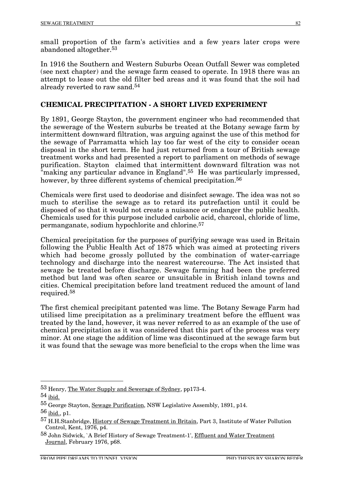small proportion of the farm's activities and a few years later crops were abandoned altogether.53

In 1916 the Southern and Western Suburbs Ocean Outfall Sewer was completed (see next chapter) and the sewage farm ceased to operate. In 1918 there was an attempt to lease out the old filter bed areas and it was found that the soil had already reverted to raw sand.54

# **CHEMICAL PRECIPITATION - A SHORT LIVED EXPERIMENT**

By 1891, George Stayton, the government engineer who had recommended that the sewerage of the Western suburbs be treated at the Botany sewage farm by intermittent downward filtration, was arguing against the use of this method for the sewage of Parramatta which lay too far west of the city to consider ocean disposal in the short term. He had just returned from a tour of British sewage treatment works and had presented a report to parliament on methods of sewage purification. Stayton claimed that intermittent downward filtration was not "making any particular advance in England".<sup>55</sup> He was particularly impressed, however, by three different systems of chemical precipitation.<sup>56</sup>

Chemicals were first used to deodorise and disinfect sewage. The idea was not so much to sterilise the sewage as to retard its putrefaction until it could be disposed of so that it would not create a nuisance or endanger the public health. Chemicals used for this purpose included carbolic acid, charcoal, chloride of lime, permanganate, sodium hypochlorite and chlorine.57

Chemical precipitation for the purposes of purifying sewage was used in Britain following the Public Health Act of 1875 which was aimed at protecting rivers which had become grossly polluted by the combination of water-carriage technology and discharge into the nearest watercourse. The Act insisted that sewage be treated before discharge. Sewage farming had been the preferred method but land was often scarce or unsuitable in British inland towns and cities. Chemical precipitation before land treatment reduced the amount of land required.58

The first chemical precipitant patented was lime. The Botany Sewage Farm had utilised lime precipitation as a preliminary treatment before the effluent was treated by the land, however, it was never referred to as an example of the use of chemical precipitation as it was considered that this part of the process was very minor. At one stage the addition of lime was discontinued at the sewage farm but it was found that the sewage was more beneficial to the crops when the lime was

 <sup>53</sup> Henry, The Water Supply and Sewerage of Sydney, pp173-4.

 $54$  ibid.

<sup>55</sup> George Stayton, Sewage Purification, NSW Legislative Assembly, 1891, p14.

<sup>56</sup> ibid., p1.

<sup>57</sup> H.H.Stanbridge, History of Sewage Treatment in Britain, Part 3, Institute of Water Pollution Control, Kent, 1976, p4.

<sup>&</sup>lt;sup>58</sup> John Sidwick, `A Brief History of Sewage Treatment-1', Effluent and Water Treatment Journal, February 1976, p68.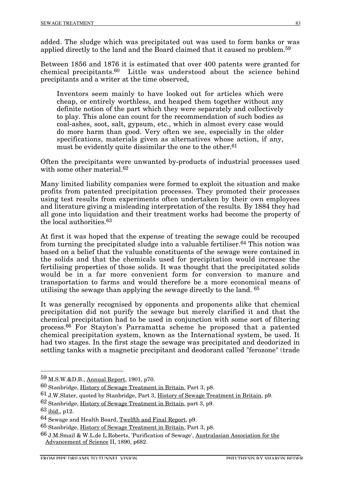added. The sludge which was precipitated out was used to form banks or was applied directly to the land and the Board claimed that it caused no problem.59

Between 1856 and 1876 it is estimated that over 400 patents were granted for chemical precipitants.60 Little was understood about the science behind precipitants and a writer at the time observed,

Inventors seem mainly to have looked out for articles which were cheap, or entirely worthless, and heaped them together without any definite notion of the part which they were separately and collectively to play. This alone can count for the recommendation of such bodies as coal-ashes, soot, salt, gypsum, etc., which in almost every case would do more harm than good. Very often we see, especially in the older specifications, materials given as alternatives whose action, if any, must be evidently quite dissimilar the one to the other.<sup>61</sup>

Often the precipitants were unwanted by-products of industrial processes used with some other material  $62$ 

Many limited liability companies were formed to exploit the situation and make profits from patented precipitation processes. They promoted their processes using test results from experiments often undertaken by their own employees and literature giving a misleading interpretation of the results. By 1884 they had all gone into liquidation and their treatment works had become the property of the local authorities.63

At first it was hoped that the expense of treating the sewage could be recouped from turning the precipitated sludge into a valuable fertiliser.64 This notion was based on a belief that the valuable constituents of the sewage were contained in the solids and that the chemicals used for precipitation would increase the fertilising properties of those solids. It was thought that the precipitated solids would be in a far more convenient form for conversion to manure and transportation to farms and would therefore be a more economical means of utilising the sewage than applying the sewage directly to the land. 65

It was generally recognised by opponents and proponents alike that chemical precipitation did not purify the sewage but merely clarified it and that the chemical precipitation had to be used in conjunction with some sort of filtering process.66 For Stayton's Parramatta scheme he proposed that a patented chemical precipitation system, known as the International system, be used. It had two stages. In the first stage the sewage was precipitated and deodorized in settling tanks with a magnetic precipitant and deodorant called "ferozone" (trade

 <sup>59</sup> M.S.W.&D.B., Annual Report, 1901, p70.

<sup>60</sup> Stanbridge, History of Sewage Treatment in Britain, Part 3, p8.

<sup>61</sup> J.W.Slater, quoted by Stanbridge, Part 3, History of Sewage Treatment in Britain, p9.

<sup>62</sup> Stanbridge, History of Sewage Treatment in Britain, part 3, p9.

<sup>63</sup> ibid., p12.

<sup>64</sup> Sewage and Health Board, Twelfth and Final Report, p9.

<sup>65</sup> Stanbridge, History of Sewage Treatment in Britain, Part 3, p8.

<sup>66</sup> J.M.Smail & W.L.de L.Roberts, 'Purification of Sewage', Australasian Association for the Advancement of Science II, 1890, p682.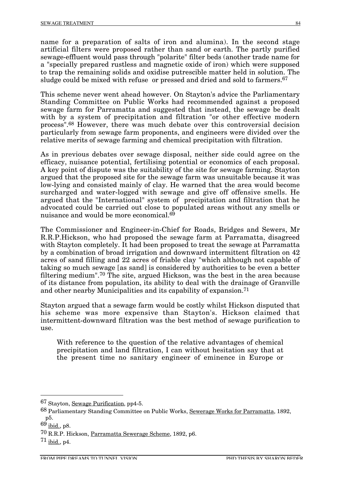name for a preparation of salts of iron and alumina). In the second stage artificial filters were proposed rather than sand or earth. The partly purified sewage-effluent would pass through "polarite" filter beds (another trade name for a "specially prepared rustless and magnetic oxide of iron) which were supposed to trap the remaining solids and oxidise putrescible matter held in solution. The sludge could be mixed with refuse or pressed and dried and sold to farmers.<sup>67</sup>

This scheme never went ahead however. On Stayton's advice the Parliamentary Standing Committee on Public Works had recommended against a proposed sewage farm for Parramatta and suggested that instead, the sewage be dealt with by a system of precipitation and filtration "or other effective modern process".68 However, there was much debate over this controversial decision particularly from sewage farm proponents, and engineers were divided over the relative merits of sewage farming and chemical precipitation with filtration.

As in previous debates over sewage disposal, neither side could agree on the efficacy, nuisance potential, fertilising potential or economics of each proposal. A key point of dispute was the suitability of the site for sewage farming. Stayton argued that the proposed site for the sewage farm was unsuitable because it was low-lying and consisted mainly of clay. He warned that the area would become surcharged and water-logged with sewage and give off offensive smells. He argued that the "International" system of precipitation and filtration that he advocated could be carried out close to populated areas without any smells or nuisance and would be more economical.<sup>69</sup>

The Commissioner and Engineer-in-Chief for Roads, Bridges and Sewers, Mr R.R.P.Hickson, who had proposed the sewage farm at Parramatta, disagreed with Stayton completely. It had been proposed to treat the sewage at Parramatta by a combination of broad irrigation and downward intermittent filtration on 42 acres of sand filling and 22 acres of friable clay "which although not capable of taking so much sewage [as sand] is considered by authorities to be even a better filtering medium".70 The site, argued Hickson, was the best in the area because of its distance from population, its ability to deal with the drainage of Granville and other nearby Municipalities and its capability of expansion.71

Stayton argued that a sewage farm would be costly whilst Hickson disputed that his scheme was more expensive than Stayton's. Hickson claimed that intermittent-downward filtration was the best method of sewage purification to use.

With reference to the question of the relative advantages of chemical precipitation and land filtration, I can without hesitation say that at the present time no sanitary engineer of eminence in Europe or

 <sup>67</sup> Stayton, Sewage Purification, pp4-5.

<sup>68</sup> Parliamentary Standing Committee on Public Works, Sewerage Works for Parramatta, 1892, p5.

<sup>69</sup> ibid., p8.

<sup>70</sup> R.R.P. Hickson, Parramatta Sewerage Scheme, 1892, p6.

 $71$  ibid., p4.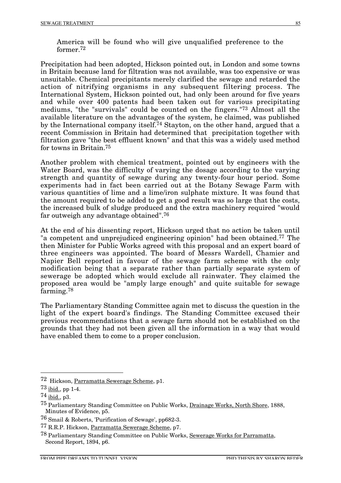America will be found who will give unqualified preference to the former.72

Precipitation had been adopted, Hickson pointed out, in London and some towns in Britain because land for filtration was not available, was too expensive or was unsuitable. Chemical precipitants merely clarified the sewage and retarded the action of nitrifying organisms in any subsequent filtering process. The International System, Hickson pointed out, had only been around for five years and while over 400 patents had been taken out for various precipitating mediums, "the "survivals" could be counted on the fingers."<sup>73</sup> Almost all the available literature on the advantages of the system, he claimed, was published by the International company itself.74 Stayton, on the other hand, argued that a recent Commission in Britain had determined that precipitation together with filtration gave "the best effluent known" and that this was a widely used method for towns in Britain.75

Another problem with chemical treatment, pointed out by engineers with the Water Board, was the difficulty of varying the dosage according to the varying strength and quantity of sewage during any twenty-four hour period. Some experiments had in fact been carried out at the Botany Sewage Farm with various quantities of lime and a lime/iron sulphate mixture. It was found that the amount required to be added to get a good result was so large that the costs, the increased bulk of sludge produced and the extra machinery required "would far outweigh any advantage obtained".76

At the end of his dissenting report, Hickson urged that no action be taken until "a competent and unprejudiced engineering opinion" had been obtained.77 The then Minister for Public Works agreed with this proposal and an expert board of three engineers was appointed. The board of Messrs Wardell, Chamier and Napier Bell reported in favour of the sewage farm scheme with the only modification being that a separate rather than partially separate system of sewerage be adopted which would exclude all rainwater. They claimed the proposed area would be "amply large enough" and quite suitable for sewage farming.78

The Parliamentary Standing Committee again met to discuss the question in the light of the expert board's findings. The Standing Committee excused their previous recommendations that a sewage farm should not be established on the grounds that they had not been given all the information in a way that would have enabled them to come to a proper conclusion.

 <sup>72</sup> Hickson, Parramatta Sewerage Scheme, p1.

 $73$  ibid., pp 1-4.

<sup>74</sup> ibid., p3.

<sup>75</sup> Parliamentary Standing Committee on Public Works, Drainage Works, North Shore, 1888, Minutes of Evidence, p5.

<sup>76</sup> Smail & Roberts, 'Purification of Sewage', pp682-3.

<sup>77</sup> R.R.P. Hickson, Parramatta Sewerage Scheme, p7.

<sup>78</sup> Parliamentary Standing Committee on Public Works, Sewerage Works for Parramatta, Second Report, 1894, p6.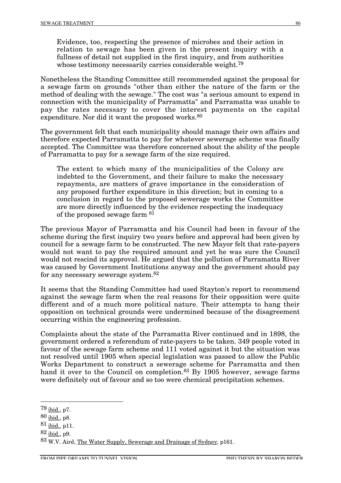Evidence, too, respecting the presence of microbes and their action in relation to sewage has been given in the present inquiry with a fullness of detail not supplied in the first inquiry, and from authorities whose testimony necessarily carries considerable weight.<sup>79</sup>

Nonetheless the Standing Committee still recommended against the proposal for a sewage farm on grounds "other than either the nature of the farm or the method of dealing with the sewage." The cost was "a serious amount to expend in connection with the municipality of Parramatta" and Parramatta was unable to pay the rates necessary to cover the interest payments on the capital expenditure. Nor did it want the proposed works.<sup>80</sup>

The government felt that each municipality should manage their own affairs and therefore expected Parramatta to pay for whatever sewerage scheme was finally accepted. The Committee was therefore concerned about the ability of the people of Parramatta to pay for a sewage farm of the size required.

The extent to which many of the municipalities of the Colony are indebted to the Government, and their failure to make the necessary repayments, are matters of grave importance in the consideration of any proposed further expenditure in this direction; but in coming to a conclusion in regard to the proposed sewerage works the Committee are more directly influenced by the evidence respecting the inadequacy of the proposed sewage farm 81

The previous Mayor of Parramatta and his Council had been in favour of the scheme during the first inquiry two years before and approval had been given by council for a sewage farm to be constructed. The new Mayor felt that rate-payers would not want to pay the required amount and yet he was sure the Council would not rescind its approval. He argued that the pollution of Parramatta River was caused by Government Institutions anyway and the government should pay for any necessary sewerage system.82

It seems that the Standing Committee had used Stayton's report to recommend against the sewage farm when the real reasons for their opposition were quite different and of a much more political nature. Their attempts to hang their opposition on technical grounds were undermined because of the disagreement occurring within the engineering profession.

Complaints about the state of the Parramatta River continued and in 1898, the government ordered a referendum of rate-payers to be taken. 349 people voted in favour of the sewage farm scheme and 111 voted against it but the situation was not resolved until 1905 when special legislation was passed to allow the Public Works Department to construct a sewerage scheme for Parramatta and then hand it over to the Council on completion.<sup>83</sup> By 1905 however, sewage farms were definitely out of favour and so too were chemical precipitation schemes.

 $79$  ibid., p7.

<sup>80</sup> ibid., p8.

<sup>81</sup> ibid., p11.

<sup>82</sup> ibid., p9.

<sup>83</sup> W.V. Aird, The Water Supply, Sewerage and Drainage of Sydney, p161.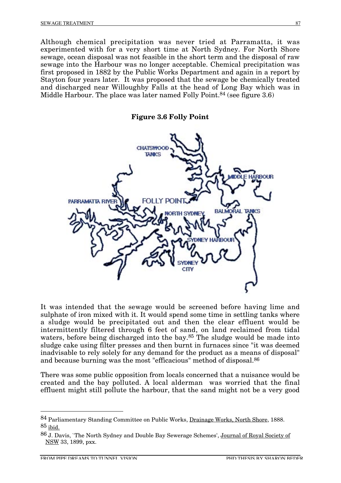Although chemical precipitation was never tried at Parramatta, it was experimented with for a very short time at North Sydney. For North Shore sewage, ocean disposal was not feasible in the short term and the disposal of raw sewage into the Harbour was no longer acceptable. Chemical precipitation was first proposed in 1882 by the Public Works Department and again in a report by Stayton four years later. It was proposed that the sewage be chemically treated and discharged near Willoughby Falls at the head of Long Bay which was in Middle Harbour. The place was later named Folly Point.<sup>84</sup> (see figure 3.6)

**Figure 3.6 Folly Point**



It was intended that the sewage would be screened before having lime and sulphate of iron mixed with it. It would spend some time in settling tanks where a sludge would be precipitated out and then the clear effluent would be intermittently filtered through 6 feet of sand, on land reclaimed from tidal waters, before being discharged into the bay.<sup>85</sup> The sludge would be made into sludge cake using filter presses and then burnt in furnaces since "it was deemed inadvisable to rely solely for any demand for the product as a means of disposal" and because burning was the most "efficacious" method of disposal.86

There was some public opposition from locals concerned that a nuisance would be created and the bay polluted. A local alderman was worried that the final effluent might still pollute the harbour, that the sand might not be a very good

 <sup>84</sup> Parliamentary Standing Committee on Public Works, Drainage Works, North Shore, 1888. 85 ibid.

<sup>86</sup> J. Davis, `The North Sydney and Double Bay Sewerage Schemes', Journal of Royal Society of NSW 33, 1899, pxx.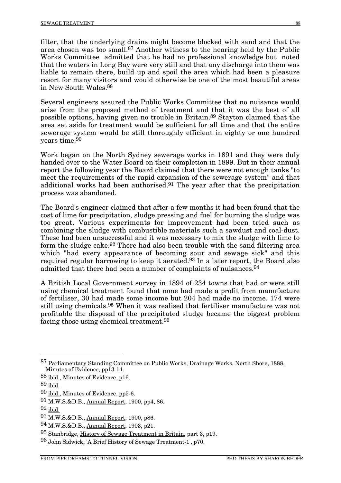filter, that the underlying drains might become blocked with sand and that the area chosen was too small.87 Another witness to the hearing held by the Public Works Committee admitted that he had no professional knowledge but noted that the waters in Long Bay were very still and that any discharge into them was liable to remain there, build up and spoil the area which had been a pleasure resort for many visitors and would otherwise be one of the most beautiful areas in New South Wales.88

Several engineers assured the Public Works Committee that no nuisance would arise from the proposed method of treatment and that it was the best of all possible options, having given no trouble in Britain.89 Stayton claimed that the area set aside for treatment would be sufficient for all time and that the entire sewerage system would be still thoroughly efficient in eighty or one hundred years time.90

Work began on the North Sydney sewerage works in 1891 and they were duly handed over to the Water Board on their completion in 1899. But in their annual report the following year the Board claimed that there were not enough tanks "to meet the requirements of the rapid expansion of the sewerage system" and that additional works had been authorised.<sup>91</sup> The year after that the precipitation process was abandoned.

The Board's engineer claimed that after a few months it had been found that the cost of lime for precipitation, sludge pressing and fuel for burning the sludge was too great. Various experiments for improvement had been tried such as combining the sludge with combustible materials such a sawdust and coal-dust. These had been unsuccessful and it was necessary to mix the sludge with lime to form the sludge cake.92 There had also been trouble with the sand filtering area which "had every appearance of becoming sour and sewage sick" and this required regular harrowing to keep it aerated.93 In a later report, the Board also admitted that there had been a number of complaints of nuisances.94

A British Local Government survey in 1894 of 234 towns that had or were still using chemical treatment found that none had made a profit from manufacture of fertiliser, 30 had made some income but 204 had made no income. 174 were still using chemicals.95 When it was realised that fertiliser manufacture was not profitable the disposal of the precipitated sludge became the biggest problem facing those using chemical treatment.96

 <sup>87</sup> Parliamentary Standing Committee on Public Works, Drainage Works, North Shore, 1888, Minutes of Evidence, pp13-14.

<sup>88</sup> ibid., Minutes of Evidence, p16.

 $89$  ibid.

<sup>90</sup> ibid., Minutes of Evidence, pp5-6.

<sup>91</sup> M.W.S.&D.B., Annual Report, 1900, pp4, 86.

<sup>92</sup> ibid.

<sup>93</sup> M.W.S.&D.B., Annual Report, 1900, p86.

<sup>94</sup> M.W.S.&D.B., Annual Report, 1903, p21.

<sup>95</sup> Stanbridge, History of Sewage Treatment in Britain, part 3, p19.

<sup>96</sup> John Sidwick, 'A Brief History of Sewage Treatment-1', p70.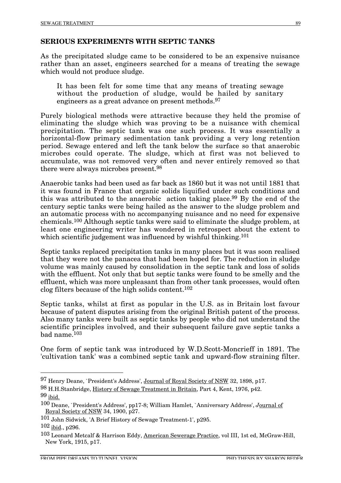# **SERIOUS EXPERIMENTS WITH SEPTIC TANKS**

As the precipitated sludge came to be considered to be an expensive nuisance rather than an asset, engineers searched for a means of treating the sewage which would not produce sludge.

It has been felt for some time that any means of treating sewage without the production of sludge, would be hailed by sanitary engineers as a great advance on present methods.97

Purely biological methods were attractive because they held the promise of eliminating the sludge which was proving to be a nuisance with chemical precipitation. The septic tank was one such process. It was essentially a horizontal-flow primary sedimentation tank providing a very long retention period. Sewage entered and left the tank below the surface so that anaerobic microbes could operate. The sludge, which at first was not believed to accumulate, was not removed very often and never entirely removed so that there were always microbes present.98

Anaerobic tanks had been used as far back as 1860 but it was not until 1881 that it was found in France that organic solids liquified under such conditions and this was attributed to the anaerobic action taking place.99 By the end of the century septic tanks were being hailed as the answer to the sludge problem and an automatic process with no accompanying nuisance and no need for expensive chemicals.100 Although septic tanks were said to eliminate the sludge problem, at least one engineering writer has wondered in retrospect about the extent to which scientific judgement was influenced by wishful thinking.<sup>101</sup>

Septic tanks replaced precipitation tanks in many places but it was soon realised that they were not the panacea that had been hoped for. The reduction in sludge volume was mainly caused by consolidation in the septic tank and loss of solids with the effluent. Not only that but septic tanks were found to be smelly and the effluent, which was more unpleasant than from other tank processes, would often clog filters because of the high solids content.102

Septic tanks, whilst at first as popular in the U.S. as in Britain lost favour because of patent disputes arising from the original British patent of the process. Also many tanks were built as septic tanks by people who did not understand the scientific principles involved, and their subsequent failure gave septic tanks a  $bad$  name. $103$ 

One form of septic tank was introduced by W.D.Scott-Moncrieff in 1891. The 'cultivation tank' was a combined septic tank and upward-flow straining filter.

101 John Sidwick, 'A Brief History of Sewage Treatment-1', p295.

 <sup>97</sup> Henry Deane, `President's Address', Journal of Royal Society of NSW 32, 1898, p17. 98 H.H.Stanbridge, History of Sewage Treatment in Britain, Part 4, Kent, 1976, p42. 99 ibid.

<sup>100</sup> Deane, `President's Address', pp17-8; William Hamlet, `Anniversary Address', *J*ournal of Royal Society of NSW 34, 1900, p27.

<sup>102</sup> ibid., p296.

<sup>103</sup> Leonard Metcalf & Harrison Eddy, American Sewerage Practice, vol III, 1st ed, McGraw-Hill, New York, 1915, p17.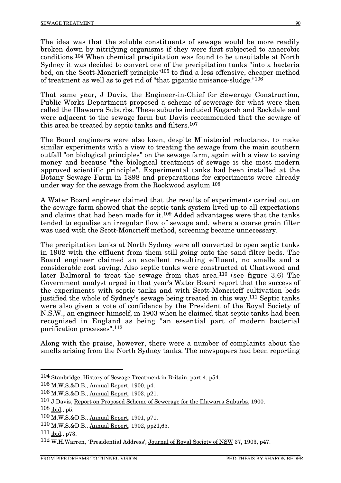The idea was that the soluble constituents of sewage would be more readily broken down by nitrifying organisms if they were first subjected to anaerobic conditions.104 When chemical precipitation was found to be unsuitable at North Sydney it was decided to convert one of the precipitation tanks "into a bacteria bed, on the Scott-Moncrieff principle"105 to find a less offensive, cheaper method of treatment as well as to get rid of "that gigantic nuisance-sludge."106

That same year, J Davis, the Engineer-in-Chief for Sewerage Construction, Public Works Department proposed a scheme of sewerage for what were then called the Illawarra Suburbs. These suburbs included Kogarah and Rockdale and were adjacent to the sewage farm but Davis recommended that the sewage of this area be treated by septic tanks and filters.107

The Board engineers were also keen, despite Ministerial reluctance, to make similar experiments with a view to treating the sewage from the main southern outfall "on biological principles" on the sewage farm, again with a view to saving money and because "the biological treatment of sewage is the most modern approved scientific principle". Experimental tanks had been installed at the Botany Sewage Farm in 1898 and preparations for experiments were already under way for the sewage from the Rookwood asylum.108

A Water Board engineer claimed that the results of experiments carried out on the sewage farm showed that the septic tank system lived up to all expectations and claims that had been made for it.109 Added advantages were that the tanks tended to equalise an irregular flow of sewage and, where a coarse grain filter was used with the Scott-Moncrieff method, screening became unnecessary.

The precipitation tanks at North Sydney were all converted to open septic tanks in 1902 with the effluent from them still going onto the sand filter beds. The Board engineer claimed an excellent resulting effluent, no smells and a considerable cost saving. Also septic tanks were constructed at Chatswood and later Balmoral to treat the sewage from that area.110 (see figure 3.6) The Government analyst urged in that year's Water Board report that the success of the experiments with septic tanks and with Scott-Moncrieff cultivation beds justified the whole of Sydney's sewage being treated in this way.111 Septic tanks were also given a vote of confidence by the President of the Royal Society of N.S.W., an engineer himself, in 1903 when he claimed that septic tanks had been recognised in England as being "an essential part of modern bacterial purification processes".112

Along with the praise, however, there were a number of complaints about the smells arising from the North Sydney tanks. The newspapers had been reporting

 <sup>104</sup> Stanbridge, History of Sewage Treatment in Britain, part 4, p54.

<sup>105</sup> M.W.S.&D.B., Annual Report, 1900, p4.

<sup>106</sup> M.W.S.&D.B., Annual Report, 1903, p21.

<sup>107</sup> J.Davis, Report on Proposed Scheme of Sewerage for the Illawarra Suburbs, 1900.

 $108$  ibid., p5.

<sup>109</sup> M.W.S.&D.B., Annual Report, 1901, p71.

<sup>110</sup> M.W.S.&D.B., Annual Report, 1902, pp21,65.

<sup>111</sup> ibid., p73.

<sup>112</sup> W.H.Warren, `Presidential Address', Journal of Royal Society of NSW 37, 1903, p47.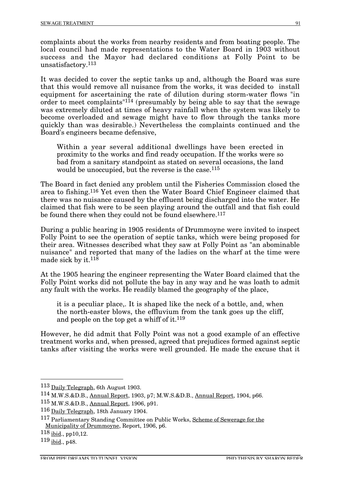complaints about the works from nearby residents and from boating people. The local council had made representations to the Water Board in 1903 without success and the Mayor had declared conditions at Folly Point to be unsatisfactory.113

It was decided to cover the septic tanks up and, although the Board was sure that this would remove all nuisance from the works, it was decided to install equipment for ascertaining the rate of dilution during storm-water flows "in order to meet complaints"114 (presumably by being able to say that the sewage was extremely diluted at times of heavy rainfall when the system was likely to become overloaded and sewage might have to flow through the tanks more quickly than was desirable.) Nevertheless the complaints continued and the Board's engineers became defensive,

Within a year several additional dwellings have been erected in proximity to the works and find ready occupation. If the works were so bad from a sanitary standpoint as stated on several occasions, the land would be unoccupied, but the reverse is the case.<sup>115</sup>

The Board in fact denied any problem until the Fisheries Commission closed the area to fishing.116 Yet even then the Water Board Chief Engineer claimed that there was no nuisance caused by the effluent being discharged into the water. He claimed that fish were to be seen playing around the outfall and that fish could be found there when they could not be found elsewhere.117

During a public hearing in 1905 residents of Drummoyne were invited to inspect Folly Point to see the operation of septic tanks, which were being proposed for their area. Witnesses described what they saw at Folly Point as "an abominable nuisance" and reported that many of the ladies on the wharf at the time were made sick by it.118

At the 1905 hearing the engineer representing the Water Board claimed that the Folly Point works did not pollute the bay in any way and he was loath to admit any fault with the works. He readily blamed the geography of the place,

it is a peculiar place,. It is shaped like the neck of a bottle, and, when the north-easter blows, the effluvium from the tank goes up the cliff, and people on the top get a whiff of it.<sup>119</sup>

However, he did admit that Folly Point was not a good example of an effective treatment works and, when pressed, agreed that prejudices formed against septic tanks after visiting the works were well grounded. He made the excuse that it

 <sup>113</sup> Daily Telegraph, 6th August 1903.

<sup>114</sup> M.W.S.&D.B., Annual Report, 1903, p7; M.W.S.&D.B., Annual Report, 1904, p66.

<sup>115</sup> M.W.S.&D.B., Annual Report, 1906, p91.

<sup>116</sup> Daily Telegraph, 18th January 1904.

<sup>117</sup> Parliamentary Standing Committee on Public Works, Scheme of Sewerage for the Municipality of Drummoyne, Report, 1906, p6.

<sup>118 &</sup>lt;u>ibid., pp10,12</u>.

<sup>119</sup> ibid., p48.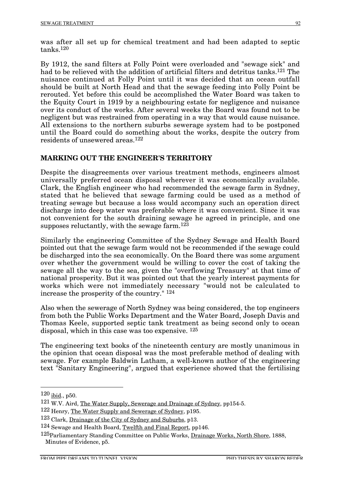was after all set up for chemical treatment and had been adapted to septic tanks.120

By 1912, the sand filters at Folly Point were overloaded and "sewage sick" and had to be relieved with the addition of artificial filters and detritus tanks.121 The nuisance continued at Folly Point until it was decided that an ocean outfall should be built at North Head and that the sewage feeding into Folly Point be rerouted. Yet before this could be accomplished the Water Board was taken to the Equity Court in 1919 by a neighbouring estate for negligence and nuisance over its conduct of the works. After several weeks the Board was found not to be negligent but was restrained from operating in a way that would cause nuisance. All extensions to the northern suburbs sewerage system had to be postponed until the Board could do something about the works, despite the outcry from residents of unsewered areas.122

#### **MARKING OUT THE ENGINEER'S TERRITORY**

Despite the disagreements over various treatment methods, engineers almost universally preferred ocean disposal wherever it was economically available. Clark, the English engineer who had recommended the sewage farm in Sydney, stated that he believed that sewage farming could be used as a method of treating sewage but because a loss would accompany such an operation direct discharge into deep water was preferable where it was convenient. Since it was not convenient for the south draining sewage he agreed in principle, and one supposes reluctantly, with the sewage farm. $12\overline{3}$ 

Similarly the engineering Committee of the Sydney Sewage and Health Board pointed out that the sewage farm would not be recommended if the sewage could be discharged into the sea economically. On the Board there was some argument over whether the government would be willing to cover the cost of taking the sewage all the way to the sea, given the "overflowing Treasury" at that time of national prosperity. But it was pointed out that the yearly interest payments for works which were not immediately necessary "would not be calculated to increase the prosperity of the country." 124

Also when the sewerage of North Sydney was being considered, the top engineers from both the Public Works Department and the Water Board, Joseph Davis and Thomas Keele, supported septic tank treatment as being second only to ocean disposal, which in this case was too expensive. 125

The engineering text books of the nineteenth century are mostly unanimous in the opinion that ocean disposal was the most preferable method of dealing with sewage. For example Baldwin Latham, a well-known author of the engineering text "Sanitary Engineering", argued that experience showed that the fertilising

 <sup>120</sup> ibid., p50.

<sup>121</sup> W.V. Aird, The Water Supply, Sewerage and Drainage of Sydney, pp154-5.

<sup>122</sup> Henry, The Water Supply and Sewerage of Sydney, p195.

<sup>123</sup> Clark, Drainage of the City of Sydney and Suburbs, p13.

<sup>124</sup> Sewage and Health Board, Twelfth and Final Report, pp146.

<sup>125</sup>Parliamentary Standing Committee on Public Works, Drainage Works, North Shore, 1888, Minutes of Evidence, p5.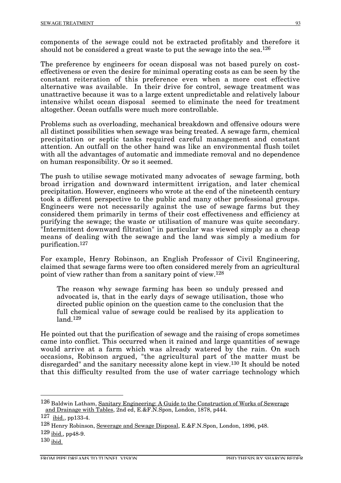components of the sewage could not be extracted profitably and therefore it should not be considered a great waste to put the sewage into the sea.<sup>126</sup>

The preference by engineers for ocean disposal was not based purely on costeffectiveness or even the desire for minimal operating costs as can be seen by the constant reiteration of this preference even when a more cost effective alternative was available. In their drive for control, sewage treatment was unattractive because it was to a large extent unpredictable and relatively labour intensive whilst ocean disposal seemed to eliminate the need for treatment altogether. Ocean outfalls were much more controllable.

Problems such as overloading, mechanical breakdown and offensive odours were all distinct possibilities when sewage was being treated. A sewage farm, chemical precipitation or septic tanks required careful management and constant attention. An outfall on the other hand was like an environmental flush toilet with all the advantages of automatic and immediate removal and no dependence on human responsibility. Or so it seemed.

The push to utilise sewage motivated many advocates of sewage farming, both broad irrigation and downward intermittent irrigation, and later chemical precipitation. However, engineers who wrote at the end of the nineteenth century took a different perspective to the public and many other professional groups. Engineers were not necessarily against the use of sewage farms but they considered them primarily in terms of their cost effectiveness and efficiency at purifying the sewage; the waste or utilisation of manure was quite secondary. "Intermittent downward filtration" in particular was viewed simply as a cheap means of dealing with the sewage and the land was simply a medium for purification.127

For example, Henry Robinson, an English Professor of Civil Engineering, claimed that sewage farms were too often considered merely from an agricultural point of view rather than from a sanitary point of view.128

The reason why sewage farming has been so unduly pressed and advocated is, that in the early days of sewage utilisation, those who directed public opinion on the question came to the conclusion that the full chemical value of sewage could be realised by its application to land.129

He pointed out that the purification of sewage and the raising of crops sometimes came into conflict. This occurred when it rained and large quantities of sewage would arrive at a farm which was already watered by the rain. On such occasions, Robinson argued, "the agricultural part of the matter must be disregarded" and the sanitary necessity alone kept in view.130 It should be noted that this difficulty resulted from the use of water carriage technology which

 <sup>126</sup> Baldwin Latham, Sanitary Engineering: A Guide to the Construction of Works of Sewerage and Drainage with Tables, 2nd ed, E.&F.N.Spon, London, 1878, p444.

 $127$  ibid., pp133-4.

<sup>128</sup> Henry Robinson, Sewerage and Sewage Disposal, E.&F.N.Spon, London, 1896, p48.

<sup>129</sup> ibid., pp48-9.

<sup>130</sup> ibid.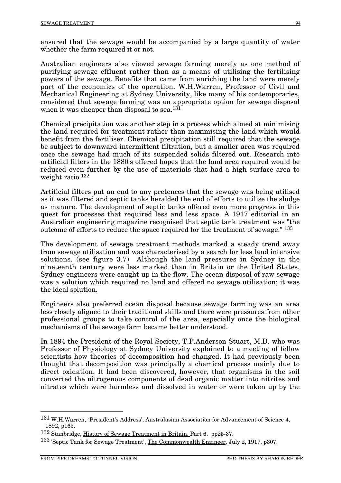ensured that the sewage would be accompanied by a large quantity of water whether the farm required it or not.

Australian engineers also viewed sewage farming merely as one method of purifying sewage effluent rather than as a means of utilising the fertilising powers of the sewage. Benefits that came from enriching the land were merely part of the economics of the operation. W.H.Warren, Professor of Civil and Mechanical Engineering at Sydney University, like many of his contemporaries, considered that sewage farming was an appropriate option for sewage disposal when it was cheaper than disposal to sea.<sup>131</sup>

Chemical precipitation was another step in a process which aimed at minimising the land required for treatment rather than maximising the land which would benefit from the fertiliser. Chemical precipitation still required that the sewage be subject to downward intermittent filtration, but a smaller area was required once the sewage had much of its suspended solids filtered out. Research into artificial filters in the 1880's offered hopes that the land area required would be reduced even further by the use of materials that had a high surface area to weight ratio.132

Artificial filters put an end to any pretences that the sewage was being utilised as it was filtered and septic tanks heralded the end of efforts to utilise the sludge as manure. The development of septic tanks offered even more progress in this quest for processes that required less and less space. A 1917 editorial in an Australian engineering magazine recognised that septic tank treatment was "the outcome of efforts to reduce the space required for the treatment of sewage." 133

The development of sewage treatment methods marked a steady trend away from sewage utilisation and was characterised by a search for less land intensive solutions. (see figure 3.7) Although the land pressures in Sydney in the nineteenth century were less marked than in Britain or the United States, Sydney engineers were caught up in the flow. The ocean disposal of raw sewage was a solution which required no land and offered no sewage utilisation; it was the ideal solution.

Engineers also preferred ocean disposal because sewage farming was an area less closely aligned to their traditional skills and there were pressures from other professional groups to take control of the area, especially once the biological mechanisms of the sewage farm became better understood.

In 1894 the President of the Royal Society, T.P.Anderson Stuart, M.D. who was Professor of Physiology at Sydney University explained to a meeting of fellow scientists how theories of decomposition had changed. It had previously been thought that decomposition was principally a chemical process mainly due to direct oxidation. It had been discovered, however, that organisms in the soil converted the nitrogenous components of dead organic matter into nitrites and nitrates which were harmless and dissolved in water or were taken up by the

<sup>131</sup> W.H.Warren, `President's Address', Australasian Association for Advancement of Science 4, 1892, p165.

<sup>132</sup> Stanbridge, History of Sewage Treatment in Britain, Part 6, pp25-37.

<sup>133 &#</sup>x27;Septic Tank for Sewage Treatment', The Commonwealth Engineer, July 2, 1917, p307.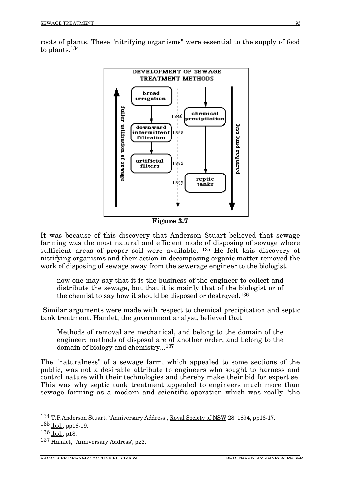roots of plants. These "nitrifying organisms" were essential to the supply of food to plants.134



**Figure 3.7**

It was because of this discovery that Anderson Stuart believed that sewage farming was the most natural and efficient mode of disposing of sewage where sufficient areas of proper soil were available.  $^{135}$  He felt this discovery of nitrifying organisms and their action in decomposing organic matter removed the work of disposing of sewage away from the sewerage engineer to the biologist.

now one may say that it is the business of the engineer to collect and distribute the sewage, but that it is mainly that of the biologist or of the chemist to say how it should be disposed or destroyed.136

Similar arguments were made with respect to chemical precipitation and septic tank treatment. Hamlet, the government analyst, believed that

Methods of removal are mechanical, and belong to the domain of the engineer; methods of disposal are of another order, and belong to the domain of biology and chemistry...137

The "naturalness" of a sewage farm, which appealed to some sections of the public, was not a desirable attribute to engineers who sought to harness and control nature with their technologies and thereby make their bid for expertise. This was why septic tank treatment appealed to engineers much more than sewage farming as a modern and scientific operation which was really "the

 <sup>134</sup> T.P.Anderson Stuart, `Anniversary Address', Royal Society of NSW 28, 1894, pp16-17.

<sup>135</sup> ibid., pp18-19.

<sup>136</sup> ibid., p18.

<sup>137</sup> Hamlet, `Anniversary Address', p22.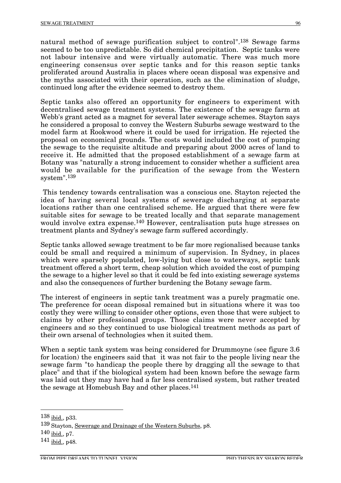natural method of sewage purification subject to control".138 Sewage farms seemed to be too unpredictable. So did chemical precipitation. Septic tanks were not labour intensive and were virtually automatic. There was much more engineering consensus over septic tanks and for this reason septic tanks proliferated around Australia in places where ocean disposal was expensive and the myths associated with their operation, such as the elimination of sludge, continued long after the evidence seemed to destroy them.

Septic tanks also offered an opportunity for engineers to experiment with decentralised sewage treatment systems. The existence of the sewage farm at Webb's grant acted as a magnet for several later sewerage schemes. Stayton says he considered a proposal to convey the Western Suburbs sewage westward to the model farm at Rookwood where it could be used for irrigation. He rejected the proposal on economical grounds. The costs would included the cost of pumping the sewage to the requisite altitude and preparing about 2000 acres of land to receive it. He admitted that the proposed establishment of a sewage farm at Botany was "naturally a strong inducement to consider whether a sufficient area would be available for the purification of the sewage from the Western system".139

This tendency towards centralisation was a conscious one. Stayton rejected the idea of having several local systems of sewerage discharging at separate locations rather than one centralised scheme. He argued that there were few suitable sites for sewage to be treated locally and that separate management would involve extra expense.<sup>140</sup> However, centralisation puts huge stresses on treatment plants and Sydney's sewage farm suffered accordingly.

Septic tanks allowed sewage treatment to be far more regionalised because tanks could be small and required a minimum of supervision. In Sydney, in places which were sparsely populated, low-lying but close to waterways, septic tank treatment offered a short term, cheap solution which avoided the cost of pumping the sewage to a higher level so that it could be fed into existing sewerage systems and also the consequences of further burdening the Botany sewage farm.

The interest of engineers in septic tank treatment was a purely pragmatic one. The preference for ocean disposal remained but in situations where it was too costly they were willing to consider other options, even those that were subject to claims by other professional groups. Those claims were never accepted by engineers and so they continued to use biological treatment methods as part of their own arsenal of technologies when it suited them.

When a septic tank system was being considered for Drummoyne (see figure 3.6 for location) the engineers said that it was not fair to the people living near the sewage farm "to handicap the people there by dragging all the sewage to that place" and that if the biological system had been known before the sewage farm was laid out they may have had a far less centralised system, but rather treated the sewage at Homebush Bay and other places.141

 $138$  ibid., p33.

<sup>139</sup> Stayton, Sewerage and Drainage of the Western Suburbs, p8.

<sup>140</sup> ibid., p7.

<sup>141</sup> ibid., p48.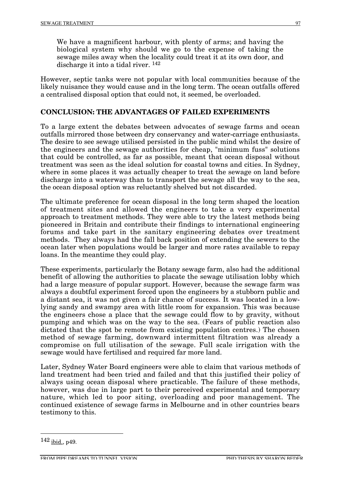We have a magnificent harbour, with plenty of arms; and having the biological system why should we go to the expense of taking the sewage miles away when the locality could treat it at its own door, and discharge it into a tidal river. 142

However, septic tanks were not popular with local communities because of the likely nuisance they would cause and in the long term. The ocean outfalls offered a centralised disposal option that could not, it seemed, be overloaded.

#### **CONCLUSION: THE ADVANTAGES OF FAILED EXPERIMENTS**

To a large extent the debates between advocates of sewage farms and ocean outfalls mirrored those between dry conservancy and water-carriage enthusiasts. The desire to see sewage utilised persisted in the public mind whilst the desire of the engineers and the sewage authorities for cheap, "minimum fuss" solutions that could be controlled, as far as possible, meant that ocean disposal without treatment was seen as the ideal solution for coastal towns and cities. In Sydney, where in some places it was actually cheaper to treat the sewage on land before discharge into a waterway than to transport the sewage all the way to the sea, the ocean disposal option was reluctantly shelved but not discarded.

The ultimate preference for ocean disposal in the long term shaped the location of treatment sites and allowed the engineers to take a very experimental approach to treatment methods. They were able to try the latest methods being pioneered in Britain and contribute their findings to international engineering forums and take part in the sanitary engineering debates over treatment methods. They always had the fall back position of extending the sewers to the ocean later when populations would be larger and more rates available to repay loans. In the meantime they could play.

These experiments, particularly the Botany sewage farm, also had the additional benefit of allowing the authorities to placate the sewage utilisation lobby which had a large measure of popular support. However, because the sewage farm was always a doubtful experiment forced upon the engineers by a stubborn public and a distant sea, it was not given a fair chance of success. It was located in a lowlying sandy and swampy area with little room for expansion. This was because the engineers chose a place that the sewage could flow to by gravity, without pumping and which was on the way to the sea. (Fears of public reaction also dictated that the spot be remote from existing population centres.) The chosen method of sewage farming, downward intermittent filtration was already a compromise on full utilisation of the sewage. Full scale irrigation with the sewage would have fertilised and required far more land.

Later, Sydney Water Board engineers were able to claim that various methods of land treatment had been tried and failed and that this justified their policy of always using ocean disposal where practicable. The failure of these methods, however, was due in large part to their perceived experimental and temporary nature, which led to poor siting, overloading and poor management. The continued existence of sewage farms in Melbourne and in other countries bears testimony to this.

<sup>142</sup> ibid., p49.